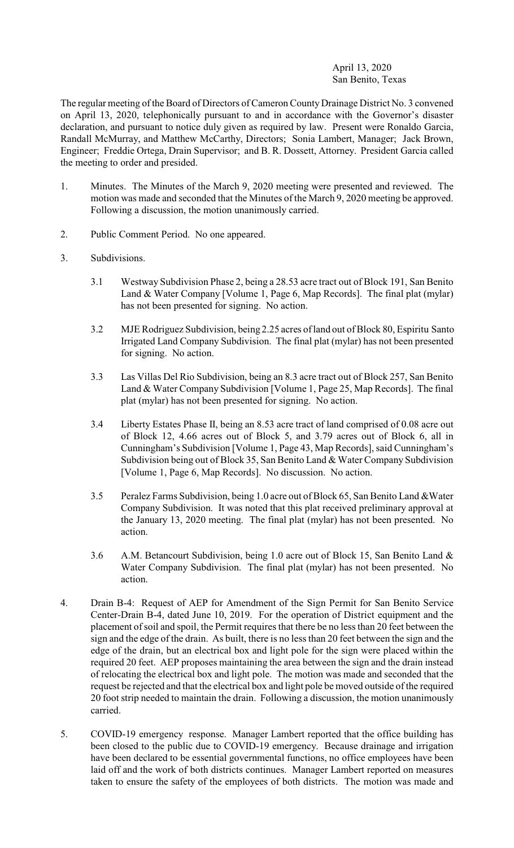# April 13, 2020 San Benito, Texas

The regular meeting of the Board of Directors of Cameron County Drainage District No. 3 convened on April 13, 2020, telephonically pursuant to and in accordance with the Governor's disaster declaration, and pursuant to notice duly given as required by law. Present were Ronaldo Garcia, Randall McMurray, and Matthew McCarthy, Directors; Sonia Lambert, Manager; Jack Brown, Engineer; Freddie Ortega, Drain Supervisor; and B. R. Dossett, Attorney. President Garcia called the meeting to order and presided.

- 1. Minutes. The Minutes of the March 9, 2020 meeting were presented and reviewed. The motion was made and seconded that the Minutes of the March 9, 2020 meeting be approved. Following a discussion, the motion unanimously carried.
- 2. Public Comment Period. No one appeared.
- 3. Subdivisions.
	- 3.1 Westway Subdivision Phase 2, being a 28.53 acre tract out of Block 191, San Benito Land & Water Company [Volume 1, Page 6, Map Records]. The final plat (mylar) has not been presented for signing. No action.
	- 3.2 MJE Rodriguez Subdivision, being 2.25 acres ofland out of Block 80, Espiritu Santo Irrigated Land Company Subdivision. The final plat (mylar) has not been presented for signing. No action.
	- 3.3 Las Villas Del Rio Subdivision, being an 8.3 acre tract out of Block 257, San Benito Land & Water Company Subdivision [Volume 1, Page 25, Map Records]. The final plat (mylar) has not been presented for signing. No action.
	- 3.4 Liberty Estates Phase II, being an 8.53 acre tract of land comprised of 0.08 acre out of Block 12, 4.66 acres out of Block 5, and 3.79 acres out of Block 6, all in Cunningham's Subdivision [Volume 1, Page 43, Map Records], said Cunningham's Subdivision being out of Block 35, San Benito Land & Water Company Subdivision [Volume 1, Page 6, Map Records]. No discussion. No action.
	- 3.5 Peralez Farms Subdivision, being 1.0 acre out ofBlock 65, San Benito Land &Water Company Subdivision. It was noted that this plat received preliminary approval at the January 13, 2020 meeting. The final plat (mylar) has not been presented. No action.
	- 3.6 A.M. Betancourt Subdivision, being 1.0 acre out of Block 15, San Benito Land & Water Company Subdivision. The final plat (mylar) has not been presented. No action.
- 4. Drain B-4: Request of AEP for Amendment of the Sign Permit for San Benito Service Center-Drain B-4, dated June 10, 2019. For the operation of District equipment and the placement of soil and spoil, the Permit requires that there be no less than 20 feet between the sign and the edge of the drain. As built, there is no less than 20 feet between the sign and the edge of the drain, but an electrical box and light pole for the sign were placed within the required 20 feet. AEP proposes maintaining the area between the sign and the drain instead of relocating the electrical box and light pole. The motion was made and seconded that the request be rejected and that the electrical box and light pole be moved outside of the required 20 foot strip needed to maintain the drain. Following a discussion, the motion unanimously carried.
- 5. COVID-19 emergency response. Manager Lambert reported that the office building has been closed to the public due to COVID-19 emergency. Because drainage and irrigation have been declared to be essential governmental functions, no office employees have been laid off and the work of both districts continues. Manager Lambert reported on measures taken to ensure the safety of the employees of both districts. The motion was made and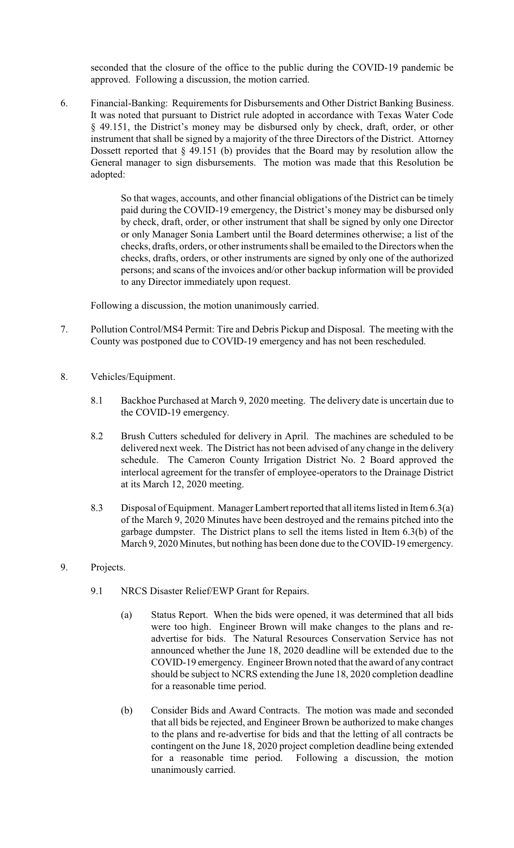seconded that the closure of the office to the public during the COVID-19 pandemic be approved. Following a discussion, the motion carried.

6. Financial-Banking: Requirements for Disbursements and Other District Banking Business. It was noted that pursuant to District rule adopted in accordance with Texas Water Code § 49.151, the District's money may be disbursed only by check, draft, order, or other instrument that shall be signed by a majority of the three Directors of the District. Attorney Dossett reported that § 49.151 (b) provides that the Board may by resolution allow the General manager to sign disbursements. The motion was made that this Resolution be adopted:

> So that wages, accounts, and other financial obligations of the District can be timely paid during the COVID-19 emergency, the District's money may be disbursed only by check, draft, order, or other instrument that shall be signed by only one Director or only Manager Sonia Lambert until the Board determines otherwise; a list of the checks, drafts, orders, or other instruments shall be emailed to the Directors when the checks, drafts, orders, or other instruments are signed by only one of the authorized persons; and scans of the invoices and/or other backup information will be provided to any Director immediately upon request.

Following a discussion, the motion unanimously carried.

- 7. Pollution Control/MS4 Permit: Tire and Debris Pickup and Disposal. The meeting with the County was postponed due to COVID-19 emergency and has not been rescheduled.
- 8. Vehicles/Equipment.
	- 8.1 Backhoe Purchased at March 9, 2020 meeting. The delivery date is uncertain due to the COVID-19 emergency.
	- 8.2 Brush Cutters scheduled for delivery in April. The machines are scheduled to be delivered next week. The District has not been advised of any change in the delivery schedule. The Cameron County Irrigation District No. 2 Board approved the interlocal agreement for the transfer of employee-operators to the Drainage District at its March 12, 2020 meeting.
	- 8.3 Disposal of Equipment. Manager Lambert reported that all items listed in Item 6.3(a) of the March 9, 2020 Minutes have been destroyed and the remains pitched into the garbage dumpster. The District plans to sell the items listed in Item 6.3(b) of the March 9, 2020 Minutes, but nothing has been done due to the COVID-19 emergency.
- 9. Projects.
	- 9.1 NRCS Disaster Relief/EWP Grant for Repairs.
		- (a) Status Report. When the bids were opened, it was determined that all bids were too high. Engineer Brown will make changes to the plans and readvertise for bids. The Natural Resources Conservation Service has not announced whether the June 18, 2020 deadline will be extended due to the COVID-19 emergency. Engineer Brown noted that the award of any contract should be subject to NCRS extending the June 18, 2020 completion deadline for a reasonable time period.
		- (b) Consider Bids and Award Contracts. The motion was made and seconded that all bids be rejected, and Engineer Brown be authorized to make changes to the plans and re-advertise for bids and that the letting of all contracts be contingent on the June 18, 2020 project completion deadline being extended for a reasonable time period. Following a discussion, the motion unanimously carried.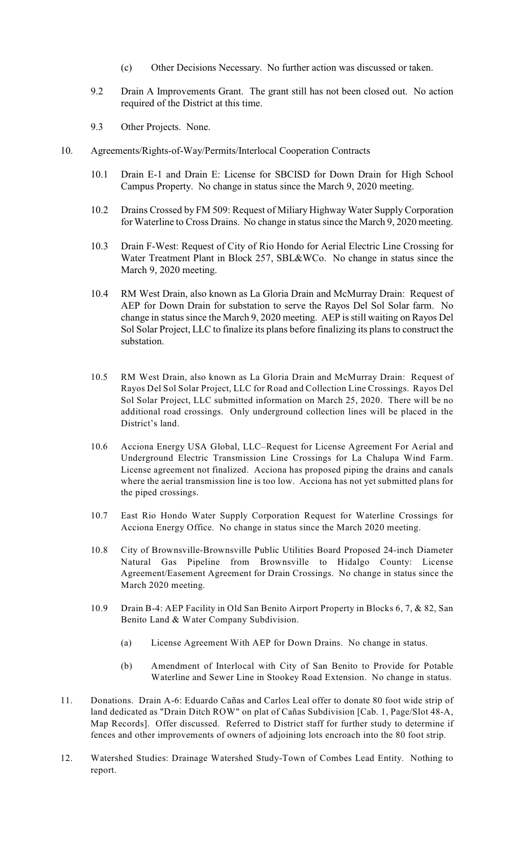- (c) Other Decisions Necessary. No further action was discussed or taken.
- 9.2 Drain A Improvements Grant. The grant still has not been closed out. No action required of the District at this time.
- 9.3 Other Projects. None.
- 10. Agreements/Rights-of-Way/Permits/Interlocal Cooperation Contracts
	- 10.1 Drain E-1 and Drain E: License for SBCISD for Down Drain for High School Campus Property. No change in status since the March 9, 2020 meeting.
	- 10.2 Drains Crossed by FM 509: Request of Miliary Highway Water Supply Corporation for Waterline to Cross Drains. No change in status since the March 9, 2020 meeting.
	- 10.3 Drain F-West: Request of City of Rio Hondo for Aerial Electric Line Crossing for Water Treatment Plant in Block 257, SBL&WCo. No change in status since the March 9, 2020 meeting.
	- 10.4 RM West Drain, also known as La Gloria Drain and McMurray Drain: Request of AEP for Down Drain for substation to serve the Rayos Del Sol Solar farm. No change in status since the March 9, 2020 meeting. AEP is still waiting on Rayos Del Sol Solar Project, LLC to finalize its plans before finalizing its plans to construct the substation.
	- 10.5 RM West Drain, also known as La Gloria Drain and McMurray Drain: Request of Rayos Del Sol Solar Project, LLC for Road and Collection Line Crossings. Rayos Del Sol Solar Project, LLC submitted information on March 25, 2020. There will be no additional road crossings. Only underground collection lines will be placed in the District's land.
	- 10.6 Acciona Energy USA Global, LLC–Request for License Agreement For Aerial and Underground Electric Transmission Line Crossings for La Chalupa Wind Farm. License agreement not finalized. Acciona has proposed piping the drains and canals where the aerial transmission line is too low. Acciona has not yet submitted plans for the piped crossings.
	- 10.7 East Rio Hondo Water Supply Corporation Request for Waterline Crossings for Acciona Energy Office. No change in status since the March 2020 meeting.
	- 10.8 City of Brownsville-Brownsville Public Utilities Board Proposed 24-inch Diameter Natural Gas Pipeline from Brownsville to Hidalgo County: License Agreement/Easement Agreement for Drain Crossings. No change in status since the March 2020 meeting.
	- 10.9 Drain B-4: AEP Facility in Old San Benito Airport Property in Blocks 6, 7, & 82, San Benito Land & Water Company Subdivision.
		- (a) License Agreement With AEP for Down Drains. No change in status.
		- (b) Amendment of Interlocal with City of San Benito to Provide for Potable Waterline and Sewer Line in Stookey Road Extension. No change in status.
- 11. Donations. Drain A-6: Eduardo Cañas and Carlos Leal offer to donate 80 foot wide strip of land dedicated as "Drain Ditch ROW" on plat of Cañas Subdivision [Cab. 1, Page/Slot 48-A, Map Records]. Offer discussed. Referred to District staff for further study to determine if fences and other improvements of owners of adjoining lots encroach into the 80 foot strip.
- 12. Watershed Studies: Drainage Watershed Study-Town of Combes Lead Entity. Nothing to report.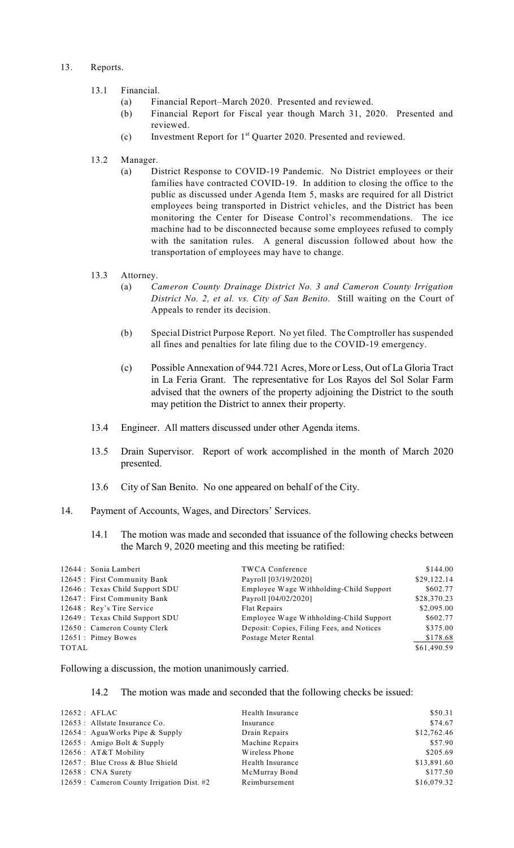### 13. Reports.

### 13.1 Financial.

- (a) Financial Report–March 2020. Presented and reviewed.
- (b) Financial Report for Fiscal year though March 31, 2020. Presented and reviewed.
- (c) Investment Report for  $1<sup>st</sup>$  Quarter 2020. Presented and reviewed.
- 13.2 Manager.
	- (a) District Response to COVID-19 Pandemic. No District employees or their families have contracted COVID-19. In addition to closing the office to the public as discussed under Agenda Item 5, masks are required for all District employees being transported in District vehicles, and the District has been monitoring the Center for Disease Control's recommendations. The ice machine had to be disconnected because some employees refused to comply with the sanitation rules. A general discussion followed about how the transportation of employees may have to change.

# 13.3 Attorney.

- (a) *Cameron County Drainage District No. 3 and Cameron County Irrigation District No. 2, et al. vs. City of San Benito*. Still waiting on the Court of Appeals to render its decision.
- (b) Special District Purpose Report. No yet filed. The Comptroller has suspended all fines and penalties for late filing due to the COVID-19 emergency.
- (c) Possible Annexation of 944.721 Acres, More or Less, Out of La Gloria Tract in La Feria Grant. The representative for Los Rayos del Sol Solar Farm advised that the owners of the property adjoining the District to the south may petition the District to annex their property.
- 13.4 Engineer. All matters discussed under other Agenda items.
- 13.5 Drain Supervisor. Report of work accomplished in the month of March 2020 presented.
- 13.6 City of San Benito. No one appeared on behalf of the City.
- 14. Payment of Accounts, Wages, and Directors' Services.
	- 14.1 The motion was made and seconded that issuance of the following checks between the March 9, 2020 meeting and this meeting be ratified:

| 12644 : Sonia Lambert           | <b>TWCA Conference</b>                    | \$144.00    |
|---------------------------------|-------------------------------------------|-------------|
| 12645 : First Community Bank    | Payroll [03/19/2020]                      | \$29,122.14 |
| 12646 : Texas Child Support SDU | Employee Wage Withholding-Child Support   | \$602.77    |
| 12647 : First Community Bank    | Payroll [04/02/2020]                      | \$28,370.23 |
| 12648 : Rey's Tire Service      | Flat Repairs                              | \$2,095.00  |
| 12649 : Texas Child Support SDU | Employee Wage Withholding-Child Support   | \$602.77    |
| 12650 : Cameron County Clerk    | Deposit: Copies, Filing Fees, and Notices | \$375.00    |
| 12651 : Pitney Bowes            | Postage Meter Rental                      | \$178.68    |
| TOTAL                           |                                           | \$61,490.59 |

Following a discussion, the motion unanimously carried.

#### 14.2 The motion was made and seconded that the following checks be issued:

| $12652$ : AFLAC                            | Health Insurance | \$50.31     |
|--------------------------------------------|------------------|-------------|
| 12653 : Allstate Insurance Co.             | Insurance        | \$74.67     |
| 12654 : AguaWorks Pipe & Supply            | Drain Repairs    | \$12,762.46 |
| 12655 : Amigo Bolt & Supply                | Machine Repairs  | \$57.90     |
| 12656 : AT&T Mobility                      | Wireless Phone   | \$205.69    |
| 12657 : Blue Cross & Blue Shield           | Health Insurance | \$13,891.60 |
| $12658:$ CNA Surety                        | McMurray Bond    | \$177.50    |
| 12659 : Cameron County Irrigation Dist. #2 | Reimbursement    | \$16,079.32 |